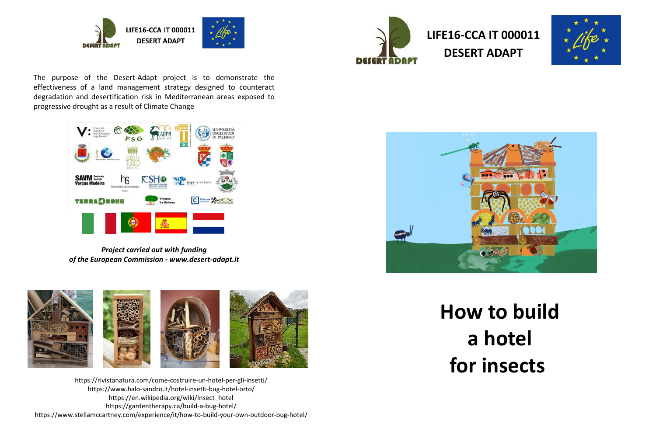

**DESERT** 





The purpose of the Desert-Adapt project is to demonstrate the effectiveness of a land management strategy designed to counteract degradation and desertification risk in Mediterranean areas exposed to progressive drought as a result of Climate Change



*Project carried out with funding of the European Commission - www.desert-adapt.it*



https://rivistanatura.com/come-costruire-un-hotel-per-gli-insetti/ https://www.halo-sandro.it/hotel-insetti-bug-hotel-orto/ https://en.wikipedia.org/wiki/Insect\_hotel https://gardentherapy.ca/build-a-bug-hotel/ https://www.stellamccartney.com/experience/it/how-to-build-your-own-outdoor-bug-hotel/



**How to build a hotel for insects**